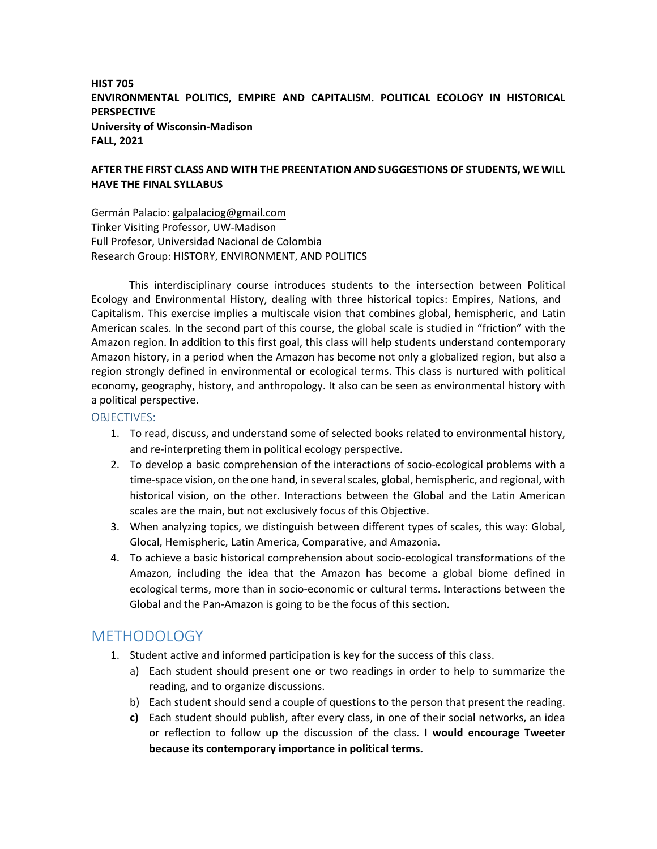### **HIST 705 ENVIRONMENTAL POLITICS, EMPIRE AND CAPITALISM. POLITICAL ECOLOGY IN HISTORICAL PERSPECTIVE University of Wisconsin‐Madison FALL, 2021**

#### **AFTER THE FIRST CLASS AND WITH THE PREENTATION AND SUGGESTIONS OF STUDENTS, WE WILL HAVE THE FINAL SYLLABUS**

Germán Palacio: galpalaciog@gmail.com Tinker Visiting Professor, UW‐Madison Full Profesor, Universidad Nacional de Colombia Research Group: HISTORY, ENVIRONMENT, AND POLITICS

This interdisciplinary course introduces students to the intersection between Political Ecology and Environmental History, dealing with three historical topics: Empires, Nations, and Capitalism. This exercise implies a multiscale vision that combines global, hemispheric, and Latin American scales. In the second part of this course, the global scale is studied in "friction" with the Amazon region. In addition to this first goal, this class will help students understand contemporary Amazon history, in a period when the Amazon has become not only a globalized region, but also a region strongly defined in environmental or ecological terms. This class is nurtured with political economy, geography, history, and anthropology. It also can be seen as environmental history with a political perspective.

#### OBJECTIVES:

- 1. To read, discuss, and understand some of selected books related to environmental history, and re‐interpreting them in political ecology perspective.
- 2. To develop a basic comprehension of the interactions of socio-ecological problems with a time-space vision, on the one hand, in several scales, global, hemispheric, and regional, with historical vision, on the other. Interactions between the Global and the Latin American scales are the main, but not exclusively focus of this Objective.
- 3. When analyzing topics, we distinguish between different types of scales, this way: Global, Glocal, Hemispheric, Latin America, Comparative, and Amazonia.
- 4. To achieve a basic historical comprehension about socio‐ecological transformations of the Amazon, including the idea that the Amazon has become a global biome defined in ecological terms, more than in socio‐economic or cultural terms. Interactions between the Global and the Pan‐Amazon is going to be the focus of this section.

# METHODOLOGY

- 1. Student active and informed participation is key for the success of this class.
	- a) Each student should present one or two readings in order to help to summarize the reading, and to organize discussions.
	- b) Each student should send a couple of questions to the person that present the reading.
	- **c)** Each student should publish, after every class, in one of their social networks, an idea or reflection to follow up the discussion of the class. **I would encourage Tweeter because its contemporary importance in political terms.**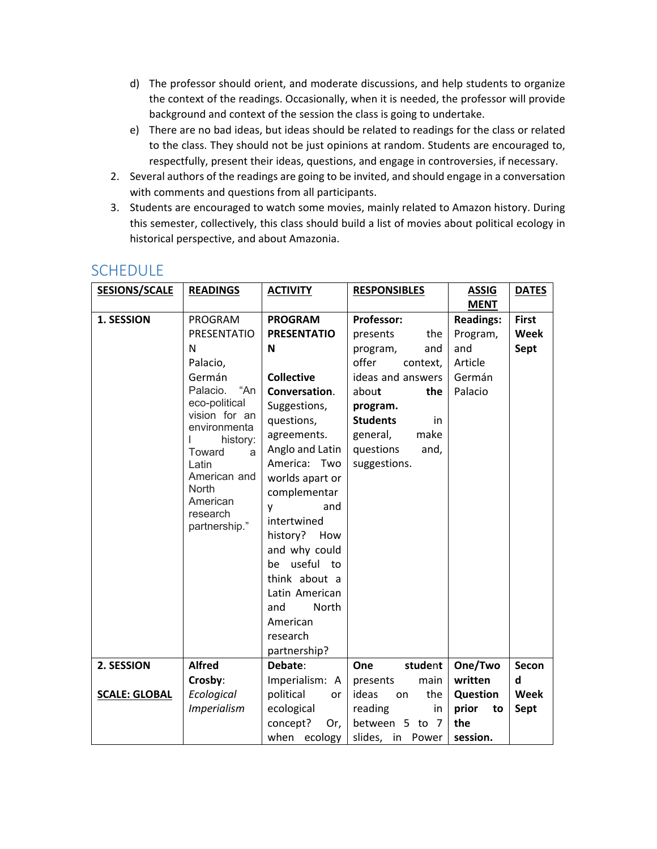- d) The professor should orient, and moderate discussions, and help students to organize the context of the readings. Occasionally, when it is needed, the professor will provide background and context of the session the class is going to undertake.
- e) There are no bad ideas, but ideas should be related to readings for the class or related to the class. They should not be just opinions at random. Students are encouraged to, respectfully, present their ideas, questions, and engage in controversies, if necessary.
- 2. Several authors of the readings are going to be invited, and should engage in a conversation with comments and questions from all participants.
- 3. Students are encouraged to watch some movies, mainly related to Amazon history. During this semester, collectively, this class should build a list of movies about political ecology in historical perspective, and about Amazonia.

| <b>SESIONS/SCALE</b> | <b>READINGS</b>               | <b>ACTIVITY</b>     | <b>RESPONSIBLES</b>   | <b>ASSIG</b>     | <b>DATES</b> |
|----------------------|-------------------------------|---------------------|-----------------------|------------------|--------------|
|                      |                               |                     |                       | <b>MENT</b>      |              |
| 1. SESSION           | PROGRAM                       | <b>PROGRAM</b>      | Professor:            | <b>Readings:</b> | <b>First</b> |
|                      | <b>PRESENTATIO</b>            | <b>PRESENTATIO</b>  | the<br>presents       | Program,         | Week         |
|                      | N                             | N                   | program,<br>and       | and              | Sept         |
|                      | Palacio,                      |                     | offer<br>context,     | Article          |              |
|                      | Germán                        | <b>Collective</b>   | ideas and answers     | Germán           |              |
|                      | "An<br>Palacio.               | Conversation.       | about<br>the          | Palacio          |              |
|                      | eco-political                 | Suggestions,        | program.              |                  |              |
|                      | vision for an<br>environmenta | questions,          | <b>Students</b><br>in |                  |              |
|                      | history:                      | agreements.         | make<br>general,      |                  |              |
|                      | Toward<br>a                   | Anglo and Latin     | questions<br>and,     |                  |              |
|                      | Latin                         | America: Two        | suggestions.          |                  |              |
|                      | American and                  | worlds apart or     |                       |                  |              |
|                      | North                         | complementar        |                       |                  |              |
|                      | American<br>research          | and<br>y            |                       |                  |              |
|                      | partnership."                 | intertwined         |                       |                  |              |
|                      |                               | history?<br>How     |                       |                  |              |
|                      |                               | and why could       |                       |                  |              |
|                      |                               | useful to<br>be     |                       |                  |              |
|                      |                               | think about a       |                       |                  |              |
|                      |                               | Latin American      |                       |                  |              |
|                      |                               | <b>North</b><br>and |                       |                  |              |
|                      |                               | American            |                       |                  |              |
|                      |                               | research            |                       |                  |              |
|                      |                               | partnership?        |                       |                  |              |
| 2. SESSION           | <b>Alfred</b>                 | Debate:             | One<br>student        | One/Two          | Secon        |
|                      | Crosby:                       | Imperialism: A      | main<br>presents      | written          | d            |
| <b>SCALE: GLOBAL</b> | Ecological                    | political<br>or     | ideas<br>the<br>on    | <b>Question</b>  | <b>Week</b>  |
|                      | <b>Imperialism</b>            | ecological          | reading<br>in         | prior<br>to      | Sept         |
|                      |                               | concept?<br>Or,     | between 5 to 7        | the              |              |
|                      |                               | when ecology        | slides, in<br>Power   | session.         |              |

# **SCHEDULE**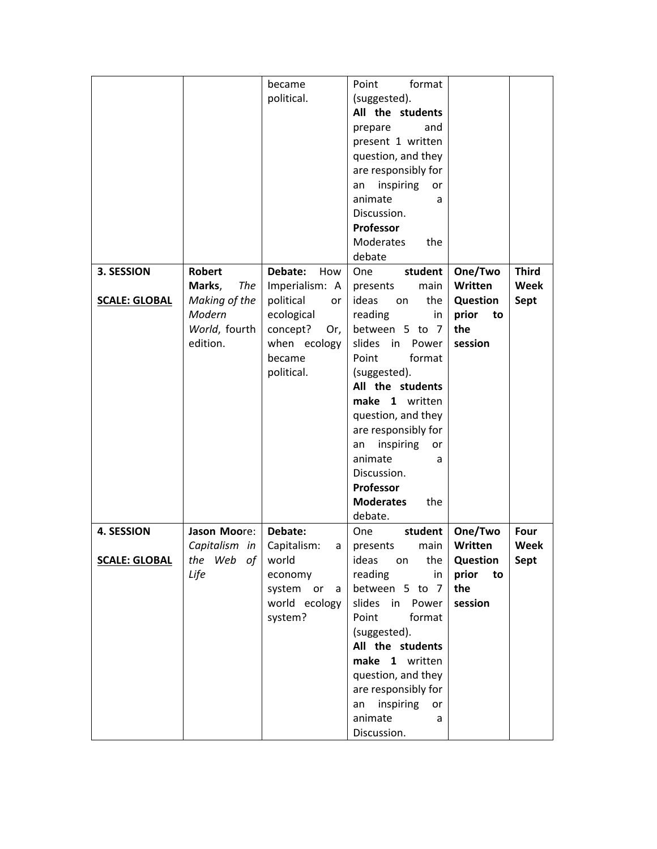|                      |                      | became           | format<br>Point         |                 |              |
|----------------------|----------------------|------------------|-------------------------|-----------------|--------------|
|                      |                      | political.       | (suggested).            |                 |              |
|                      |                      |                  | All the students        |                 |              |
|                      |                      |                  | prepare<br>and          |                 |              |
|                      |                      |                  | present 1 written       |                 |              |
|                      |                      |                  |                         |                 |              |
|                      |                      |                  | question, and they      |                 |              |
|                      |                      |                  | are responsibly for     |                 |              |
|                      |                      |                  | inspiring<br>an<br>or   |                 |              |
|                      |                      |                  | animate<br>a            |                 |              |
|                      |                      |                  | Discussion.             |                 |              |
|                      |                      |                  | Professor               |                 |              |
|                      |                      |                  | Moderates<br>the        |                 |              |
|                      |                      |                  | debate                  |                 |              |
| 3. SESSION           | <b>Robert</b>        |                  |                         |                 | <b>Third</b> |
|                      |                      | Debate:<br>How   | One<br>student          | One/Two         |              |
|                      | <b>The</b><br>Marks, | Imperialism: A   | main<br>presents        | Written         | Week         |
| <b>SCALE: GLOBAL</b> | Making of the        | political<br>or  | ideas<br>the<br>on      | <b>Question</b> | Sept         |
|                      | Modern               | ecological       | reading<br>in           | prior<br>to     |              |
|                      | World, fourth        | concept?<br>Or,  | between 5 to 7          | the             |              |
|                      | edition.             | when ecology     | slides<br>in<br>Power   | session         |              |
|                      |                      | became           | Point<br>format         |                 |              |
|                      |                      | political.       | (suggested).            |                 |              |
|                      |                      |                  | All the students        |                 |              |
|                      |                      |                  | make 1 written          |                 |              |
|                      |                      |                  |                         |                 |              |
|                      |                      |                  | question, and they      |                 |              |
|                      |                      |                  | are responsibly for     |                 |              |
|                      |                      |                  | inspiring<br>an<br>or   |                 |              |
|                      |                      |                  | animate<br>a            |                 |              |
|                      |                      |                  | Discussion.             |                 |              |
|                      |                      |                  | Professor               |                 |              |
|                      |                      |                  | <b>Moderates</b><br>the |                 |              |
|                      |                      |                  | debate.                 |                 |              |
| 4. SESSION           | Jason Moore:         | Debate:          | student<br>One          | One/Two         | Four         |
|                      |                      |                  |                         | Written         |              |
|                      | Capitalism in        | Capitalism:<br>a | main<br>presents        |                 | Week         |
| <b>SCALE: GLOBAL</b> | the Web of           | world            | ideas<br>the<br>on      | <b>Question</b> | Sept         |
|                      | Life                 | economy          | reading<br>in           | prior<br>to     |              |
|                      |                      | system or<br>a   | between 5 to 7          | the             |              |
|                      |                      | world ecology    | slides<br>in<br>Power   | session         |              |
|                      |                      | system?          | Point<br>format         |                 |              |
|                      |                      |                  | (suggested).            |                 |              |
|                      |                      |                  | All the students        |                 |              |
|                      |                      |                  | make 1 written          |                 |              |
|                      |                      |                  | question, and they      |                 |              |
|                      |                      |                  |                         |                 |              |
|                      |                      |                  | are responsibly for     |                 |              |
|                      |                      |                  | inspiring<br>an<br>or   |                 |              |
|                      |                      |                  | animate<br>a            |                 |              |
|                      |                      |                  | Discussion.             |                 |              |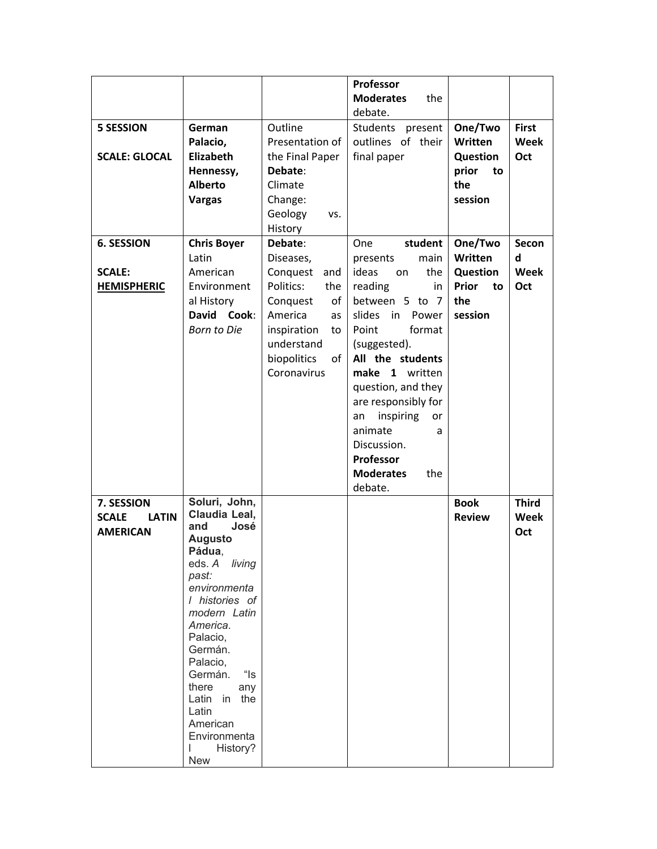| <b>5 SESSION</b><br><b>SCALE: GLOCAL</b>                      | German<br>Palacio,<br>Elizabeth                                                                                                                                                                                                                                                                                               | Outline<br>Presentation of<br>the Final Paper                                                                                                                                                | <b>Moderates</b><br>the<br>debate.<br>Students present<br>outlines of their<br>final paper                                                                                                                                                                                                                                                            | One/Two<br>Written<br>Question                                         | <b>First</b><br>Week<br>Oct             |
|---------------------------------------------------------------|-------------------------------------------------------------------------------------------------------------------------------------------------------------------------------------------------------------------------------------------------------------------------------------------------------------------------------|----------------------------------------------------------------------------------------------------------------------------------------------------------------------------------------------|-------------------------------------------------------------------------------------------------------------------------------------------------------------------------------------------------------------------------------------------------------------------------------------------------------------------------------------------------------|------------------------------------------------------------------------|-----------------------------------------|
|                                                               | Hennessy,<br><b>Alberto</b><br><b>Vargas</b>                                                                                                                                                                                                                                                                                  | Debate:<br>Climate<br>Change:<br>Geology<br>VS.<br>History                                                                                                                                   |                                                                                                                                                                                                                                                                                                                                                       | prior<br>to<br>the<br>session                                          |                                         |
| <b>6. SESSION</b><br><b>SCALE:</b><br><b>HEMISPHERIC</b>      | <b>Chris Boyer</b><br>Latin<br>American<br>Environment<br>al History<br>David Cook:<br><b>Born to Die</b>                                                                                                                                                                                                                     | Debate:<br>Diseases,<br>Conquest and<br>Politics:<br>the<br>Conquest<br>of <sub>1</sub><br>America<br>as<br>inspiration<br>to<br>understand<br>biopolitics<br>of <sub>l</sub><br>Coronavirus | student<br>One<br>main<br>presents<br>ideas<br>the<br>on<br>reading<br>in<br>between 5 to 7<br>slides<br>in<br>Power<br>Point<br>format<br>(suggested).<br>All the students<br>make 1 written<br>question, and they<br>are responsibly for<br>inspiring<br>an<br>or<br>animate<br>a<br>Discussion.<br>Professor<br><b>Moderates</b><br>the<br>debate. | One/Two<br>Written<br>Question<br><b>Prior</b><br>to<br>the<br>session | <b>Secon</b><br>d<br><b>Week</b><br>Oct |
| 7. SESSION<br><b>SCALE</b><br><b>LATIN</b><br><b>AMERICAN</b> | Soluri, John,<br>Claudia Leal,<br>and<br>José<br><b>Augusto</b><br>Pádua,<br>eds. A<br>living<br>past:<br>environmenta<br>I histories of<br>modern Latin<br>America.<br>Palacio,<br>Germán.<br>Palacio,<br>"ls<br>Germán.<br>there<br>any<br>Latin in the<br>Latin<br>American<br>Environmenta<br>History?<br>L<br><b>New</b> |                                                                                                                                                                                              |                                                                                                                                                                                                                                                                                                                                                       | <b>Book</b><br><b>Review</b>                                           | <b>Third</b><br>Week<br>Oct             |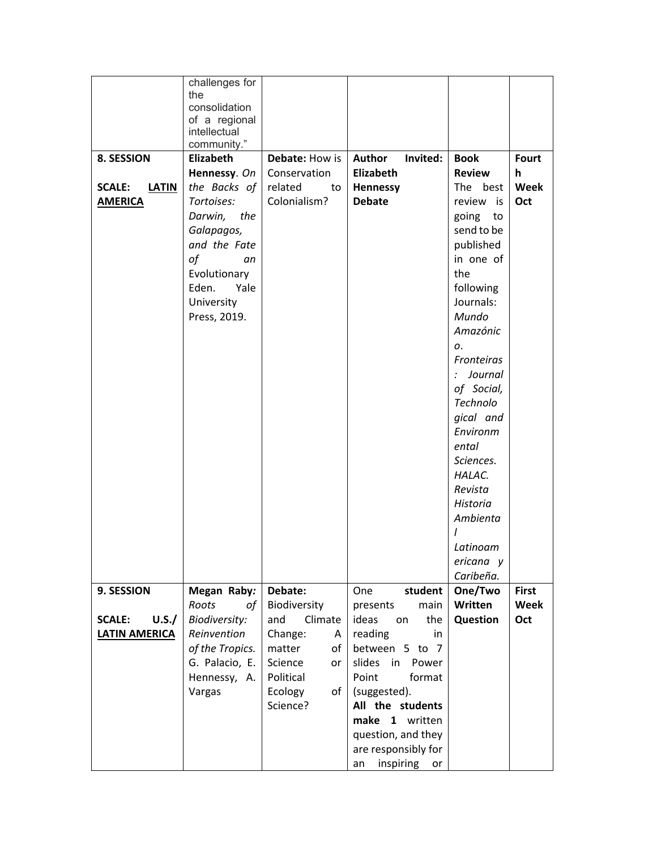|                               | challenges for       |                       |                       |                   |              |
|-------------------------------|----------------------|-----------------------|-----------------------|-------------------|--------------|
|                               | the                  |                       |                       |                   |              |
|                               | consolidation        |                       |                       |                   |              |
|                               | of a regional        |                       |                       |                   |              |
|                               | intellectual         |                       |                       |                   |              |
|                               | community."          |                       |                       |                   |              |
| 8. SESSION                    | Elizabeth            | <b>Debate: How is</b> | Author<br>Invited:    | <b>Book</b>       | <b>Fourt</b> |
|                               | Hennessy. On         | Conservation          | <b>Elizabeth</b>      | <b>Review</b>     | h            |
| <b>SCALE:</b><br><b>LATIN</b> | the Backs of         | related<br>to         | <b>Hennessy</b>       | The best          | Week         |
| <b>AMERICA</b>                | Tortoises:           | Colonialism?          | <b>Debate</b>         | review is         | Oct          |
|                               | Darwin, the          |                       |                       | going<br>to       |              |
|                               | Galapagos,           |                       |                       | send to be        |              |
|                               | and the Fate         |                       |                       | published         |              |
|                               | of<br>an             |                       |                       | in one of         |              |
|                               | Evolutionary         |                       |                       | the               |              |
|                               | Yale<br>Eden.        |                       |                       | following         |              |
|                               | University           |                       |                       | Journals:         |              |
|                               | Press, 2019.         |                       |                       | Mundo             |              |
|                               |                      |                       |                       | Amazónic          |              |
|                               |                      |                       |                       |                   |              |
|                               |                      |                       |                       | о.                |              |
|                               |                      |                       |                       | <b>Fronteiras</b> |              |
|                               |                      |                       |                       | Journal           |              |
|                               |                      |                       |                       | of Social,        |              |
|                               |                      |                       |                       | Technolo          |              |
|                               |                      |                       |                       | gical and         |              |
|                               |                      |                       |                       | Environm          |              |
|                               |                      |                       |                       | ental             |              |
|                               |                      |                       |                       | Sciences.         |              |
|                               |                      |                       |                       | HALAC.            |              |
|                               |                      |                       |                       | Revista           |              |
|                               |                      |                       |                       | Historia          |              |
|                               |                      |                       |                       | Ambienta          |              |
|                               |                      |                       |                       |                   |              |
|                               |                      |                       |                       | Latinoam          |              |
|                               |                      |                       |                       | ericana y         |              |
|                               |                      |                       |                       | Caribeña.         |              |
| 9. SESSION                    | Megan Raby:          | Debate:               | One<br>student        | One/Two           | <b>First</b> |
|                               | Roots<br>of          | Biodiversity          | main<br>presents      | Written           | Week         |
| <b>SCALE:</b><br>U.S./        | <b>Biodiversity:</b> | and<br>Climate        | ideas<br>the<br>on    | Question          | Oct          |
| <b>LATIN AMERICA</b>          | Reinvention          | Change:<br>A          | reading<br>in         |                   |              |
|                               | of the Tropics.      | matter<br>of          | between 5 to 7        |                   |              |
|                               | G. Palacio, E.       | Science<br>or         | slides<br>in<br>Power |                   |              |
|                               | Hennessy, A.         | Political             | Point<br>format       |                   |              |
|                               |                      |                       |                       |                   |              |
|                               | Vargas               | Ecology<br>of         | (suggested).          |                   |              |
|                               |                      | Science?              | All the students      |                   |              |
|                               |                      |                       | make 1 written        |                   |              |
|                               |                      |                       | question, and they    |                   |              |
|                               |                      |                       | are responsibly for   |                   |              |
|                               |                      |                       | inspiring<br>an<br>or |                   |              |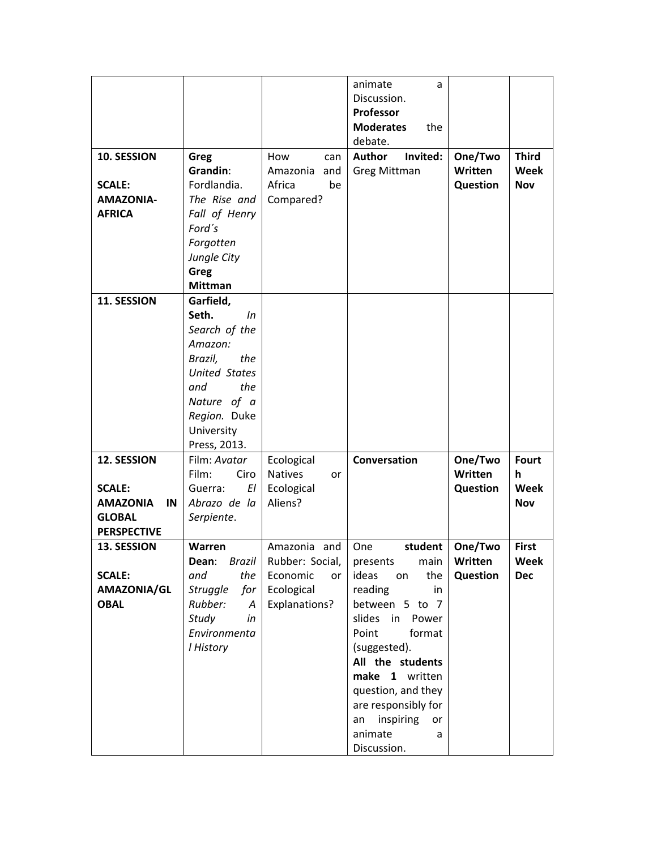|                                  |                         |                       | animate<br>a<br>Discussion. |          |                  |
|----------------------------------|-------------------------|-----------------------|-----------------------------|----------|------------------|
|                                  |                         |                       | Professor                   |          |                  |
|                                  |                         |                       | <b>Moderates</b><br>the     |          |                  |
|                                  |                         |                       | debate.                     |          |                  |
| 10. SESSION                      | Greg                    | How<br>can            | <b>Author</b><br>Invited:   | One/Two  | <b>Third</b>     |
|                                  | Grandin:                | Amazonia<br>and       | <b>Greg Mittman</b>         | Written  | Week             |
| <b>SCALE:</b>                    | Fordlandia.             | Africa<br>be          |                             | Question | <b>Nov</b>       |
| <b>AMAZONIA-</b>                 | The Rise and            | Compared?             |                             |          |                  |
| <b>AFRICA</b>                    | Fall of Henry           |                       |                             |          |                  |
|                                  | Ford's                  |                       |                             |          |                  |
|                                  | Forgotten               |                       |                             |          |                  |
|                                  | Jungle City             |                       |                             |          |                  |
|                                  | Greg                    |                       |                             |          |                  |
|                                  | <b>Mittman</b>          |                       |                             |          |                  |
| 11. SESSION                      | Garfield,               |                       |                             |          |                  |
|                                  | Seth.<br>In             |                       |                             |          |                  |
|                                  | Search of the           |                       |                             |          |                  |
|                                  | Amazon:                 |                       |                             |          |                  |
|                                  | Brazil,<br>the          |                       |                             |          |                  |
|                                  | <b>United States</b>    |                       |                             |          |                  |
|                                  | the<br>and              |                       |                             |          |                  |
|                                  | Nature of a             |                       |                             |          |                  |
|                                  | Region. Duke            |                       |                             |          |                  |
|                                  | University              |                       |                             |          |                  |
|                                  | Press, 2013.            |                       |                             |          |                  |
| 12. SESSION                      | Film: Avatar            | Ecological            | Conversation                | One/Two  | <b>Fourt</b>     |
|                                  | Ciro<br>Film:<br>ΕI     | <b>Natives</b><br>or  |                             | Written  | h<br><b>Week</b> |
| <b>SCALE:</b><br><b>AMAZONIA</b> | Guerra:<br>Abrazo de la | Ecological<br>Aliens? |                             | Question |                  |
| IN<br><b>GLOBAL</b>              | Serpiente.              |                       |                             |          | <b>Nov</b>       |
| <b>PERSPECTIVE</b>               |                         |                       |                             |          |                  |
| 13. SESSION                      | Warren                  | Amazonia and          | student<br>One              | One/Two  | <b>First</b>     |
|                                  | <b>Brazil</b><br>Dean:  | Rubber: Social,       | presents<br>main            | Written  | Week             |
| <b>SCALE:</b>                    | the<br>and              | Economic<br>or        | ideas<br>the<br>on          | Question | <b>Dec</b>       |
| AMAZONIA/GL                      | <b>Struggle</b><br>for  | Ecological            | reading<br>in               |          |                  |
| <b>OBAL</b>                      | Rubber:<br>A            | Explanations?         | between 5 to 7              |          |                  |
|                                  | Study<br>in             |                       | slides<br>in<br>Power       |          |                  |
|                                  | Environmenta            |                       | Point<br>format             |          |                  |
|                                  | I History               |                       | (suggested).                |          |                  |
|                                  |                         |                       | All the students            |          |                  |
|                                  |                         |                       | make 1 written              |          |                  |
|                                  |                         |                       | question, and they          |          |                  |
|                                  |                         |                       | are responsibly for         |          |                  |
|                                  |                         |                       | inspiring<br>an<br>or       |          |                  |
|                                  |                         |                       | animate<br>a                |          |                  |
|                                  |                         |                       | Discussion.                 |          |                  |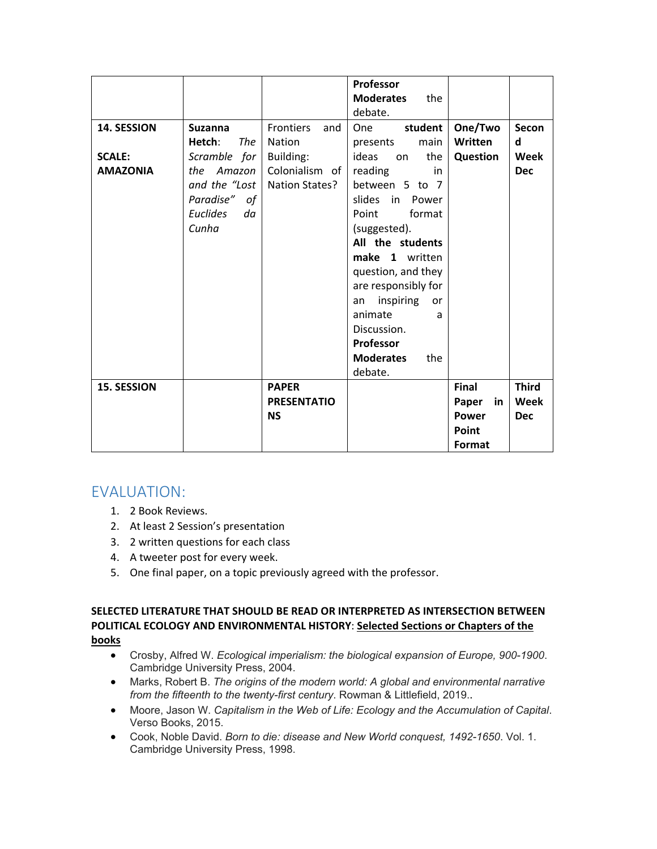| 14. SESSION<br><b>SCALE:</b><br><b>AMAZONIA</b> | <b>Suzanna</b><br><b>The</b><br>Hetch:<br>Scramble for<br>Amazon<br>the<br>and the "Lost<br>Paradise" of<br><b>Euclides</b><br>da<br>Cunha | <b>Frontiers</b><br>and<br>Nation<br>Building:<br>Colonialism of<br>Nation States? | <b>Professor</b><br><b>Moderates</b><br>the<br>debate.<br>student<br>One<br>main<br>presents<br>ideas<br>the<br>on<br>reading<br>in<br>between 5 to 7<br>slides in Power<br>Point<br>format<br>(suggested).<br>All the students<br>make 1 written<br>question, and they<br>are responsibly for<br>inspiring<br>or<br>an<br>animate<br>a | One/Two<br>Written<br>Question       | Secon<br>d<br>Week<br><b>Dec</b>   |
|-------------------------------------------------|--------------------------------------------------------------------------------------------------------------------------------------------|------------------------------------------------------------------------------------|-----------------------------------------------------------------------------------------------------------------------------------------------------------------------------------------------------------------------------------------------------------------------------------------------------------------------------------------|--------------------------------------|------------------------------------|
| <b>15. SESSION</b>                              |                                                                                                                                            | <b>PAPER</b><br><b>PRESENTATIO</b><br><b>NS</b>                                    | Discussion.<br><b>Professor</b><br><b>Moderates</b><br>the<br>debate.                                                                                                                                                                                                                                                                   | <b>Final</b><br>Paper<br>in<br>Power | <b>Third</b><br>Week<br><b>Dec</b> |
|                                                 |                                                                                                                                            |                                                                                    |                                                                                                                                                                                                                                                                                                                                         | Point<br>Format                      |                                    |

# EVALUATION:

- 1. 2 Book Reviews.
- 2. At least 2 Session's presentation
- 3. 2 written questions for each class
- 4. A tweeter post for every week.
- 5. One final paper, on a topic previously agreed with the professor.

#### **SELECTED LITERATURE THAT SHOULD BE READ OR INTERPRETED AS INTERSECTION BETWEEN POLITICAL ECOLOGY AND ENVIRONMENTAL HISTORY**: **Selected Sections or Chapters of the books**

- Crosby, Alfred W. *Ecological imperialism: the biological expansion of Europe, 900-1900*. Cambridge University Press, 2004.
- Marks, Robert B. *The origins of the modern world: A global and environmental narrative from the fifteenth to the twenty-first century*. Rowman & Littlefield, 2019..
- Moore, Jason W. *Capitalism in the Web of Life: Ecology and the Accumulation of Capital*. Verso Books, 2015.
- Cook, Noble David. *Born to die: disease and New World conquest, 1492-1650*. Vol. 1. Cambridge University Press, 1998.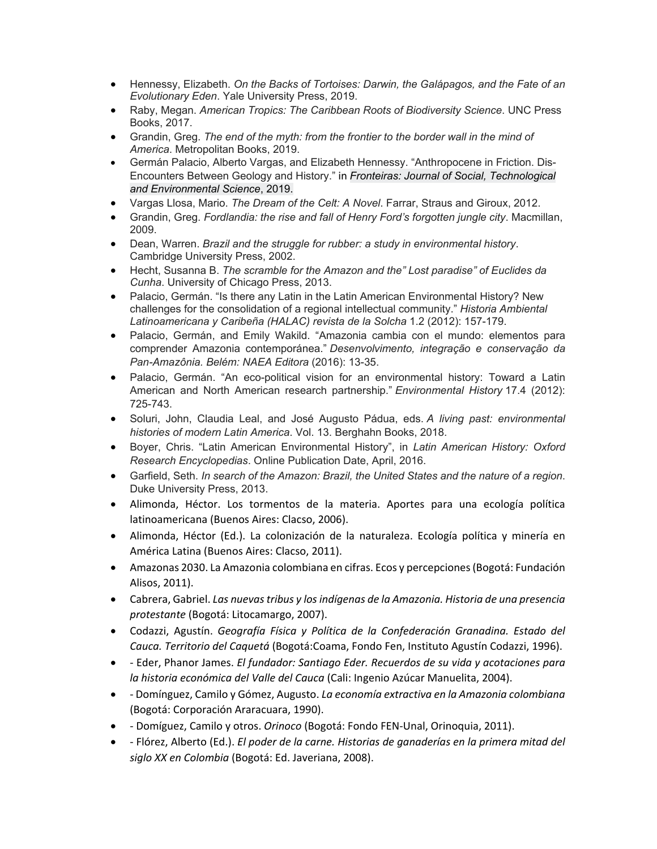- Hennessy, Elizabeth. *On the Backs of Tortoises: Darwin, the Galápagos, and the Fate of an Evolutionary Eden*. Yale University Press, 2019.
- Raby, Megan. *American Tropics: The Caribbean Roots of Biodiversity Science*. UNC Press Books, 2017.
- Grandin, Greg. *The end of the myth: from the frontier to the border wall in the mind of America*. Metropolitan Books, 2019.
- Germán Palacio, Alberto Vargas, and Elizabeth Hennessy. "Anthropocene in Friction. Dis-Encounters Between Geology and History." in *Fronteiras: Journal of Social, Technological and Environmental Science*, 2019.
- Vargas Llosa, Mario. *The Dream of the Celt: A Novel*. Farrar, Straus and Giroux, 2012.
- Grandin, Greg. *Fordlandia: the rise and fall of Henry Ford's forgotten jungle city*. Macmillan, 2009.
- Dean, Warren. *Brazil and the struggle for rubber: a study in environmental history*. Cambridge University Press, 2002.
- Hecht, Susanna B. *The scramble for the Amazon and the" Lost paradise" of Euclides da Cunha*. University of Chicago Press, 2013.
- Palacio, Germán. "Is there any Latin in the Latin American Environmental History? New challenges for the consolidation of a regional intellectual community." *Historia Ambiental Latinoamericana y Caribeña (HALAC) revista de la Solcha* 1.2 (2012): 157-179.
- Palacio, Germán, and Emily Wakild. "Amazonia cambia con el mundo: elementos para comprender Amazonia contemporánea." *Desenvolvimento, integração e conservação da Pan-Amazônia. Belém: NAEA Editora* (2016): 13-35.
- Palacio, Germán. "An eco-political vision for an environmental history: Toward a Latin American and North American research partnership." *Environmental History* 17.4 (2012): 725-743.
- Soluri, John, Claudia Leal, and José Augusto Pádua, eds. *A living past: environmental histories of modern Latin America*. Vol. 13. Berghahn Books, 2018.
- Boyer, Chris. "Latin American Environmental History", in *Latin American History: Oxford Research Encyclopedias*. Online Publication Date, April, 2016.
- Garfield, Seth. *In search of the Amazon: Brazil, the United States and the nature of a region*. Duke University Press, 2013.
- Alimonda, Héctor. Los tormentos de la materia. Aportes para una ecología política latinoamericana (Buenos Aires: Clacso, 2006).
- Alimonda, Héctor (Ed.). La colonización de la naturaleza. Ecología política y minería en América Latina (Buenos Aires: Clacso, 2011).
- Amazonas 2030. La Amazonia colombiana en cifras. Ecos y percepciones(Bogotá: Fundación Alisos, 2011).
- Cabrera, Gabriel. *Las nuevastribus y los indígenas de la Amazonia. Historia de una presencia protestante* (Bogotá: Litocamargo, 2007).
- Codazzi, Agustín. *Geografía Física y Política de la Confederación Granadina. Estado del Cauca. Territorio del Caquetá* (Bogotá:Coama, Fondo Fen, Instituto Agustín Codazzi, 1996).
- ‐ Eder, Phanor James. *El fundador: Santiago Eder. Recuerdos de su vida y acotaciones para la historia económica del Valle del Cauca* (Cali: Ingenio Azúcar Manuelita, 2004).
- ‐ Domínguez, Camilo y Gómez, Augusto. *La economía extractiva en la Amazonia colombiana* (Bogotá: Corporación Araracuara, 1990).
- ‐ Domíguez, Camilo y otros. *Orinoco* (Bogotá: Fondo FEN‐Unal, Orinoquia, 2011).
- ‐ Flórez, Alberto (Ed.). *El poder de la carne. Historias de ganaderías en la primera mitad del siglo XX en Colombia* (Bogotá: Ed. Javeriana, 2008).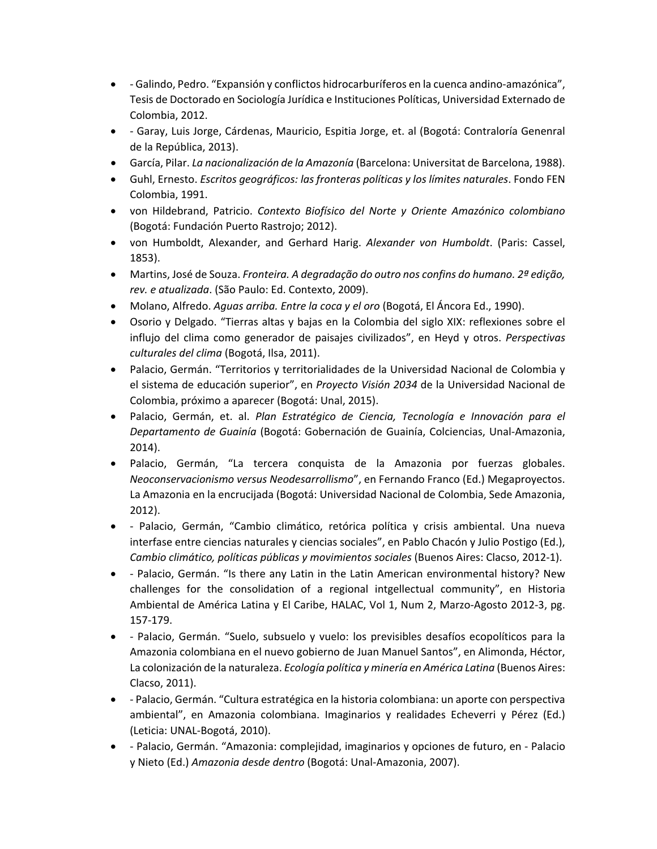- ‐ Galindo, Pedro. "Expansión y conflictos hidrocarburíferos en la cuenca andino‐amazónica", Tesis de Doctorado en Sociología Jurídica e Instituciones Políticas, Universidad Externado de Colombia, 2012.
- ‐ Garay, Luis Jorge, Cárdenas, Mauricio, Espitia Jorge, et. al (Bogotá: Contraloría Genenral de la República, 2013).
- García, Pilar. *La nacionalización de la Amazonía* (Barcelona: Universitat de Barcelona, 1988).
- Guhl, Ernesto. *Escritos geográficos: las fronteras políticas y los límites naturales*. Fondo FEN Colombia, 1991.
- von Hildebrand, Patricio. *Contexto Biofísico del Norte y Oriente Amazónico colombiano* (Bogotá: Fundación Puerto Rastrojo; 2012).
- von Humboldt, Alexander, and Gerhard Harig. *Alexander von Humboldt*. (Paris: Cassel, 1853).
- Martins, José de Souza. *Fronteira. A degradação do outro nos confins do humano. 2ª edição, rev. e atualizada*. (São Paulo: Ed. Contexto, 2009).
- Molano, Alfredo. *Aguas arriba. Entre la coca y el oro* (Bogotá, El Áncora Ed., 1990).
- Osorio y Delgado. "Tierras altas y bajas en la Colombia del siglo XIX: reflexiones sobre el influjo del clima como generador de paisajes civilizados", en Heyd y otros. *Perspectivas culturales del clima* (Bogotá, Ilsa, 2011).
- Palacio, Germán. "Territorios y territorialidades de la Universidad Nacional de Colombia y el sistema de educación superior", en *Proyecto Visión 2034* de la Universidad Nacional de Colombia, próximo a aparecer (Bogotá: Unal, 2015).
- Palacio, Germán, et. al. *Plan Estratégico de Ciencia, Tecnología e Innovación para el Departamento de Guainía* (Bogotá: Gobernación de Guainía, Colciencias, Unal‐Amazonia, 2014).
- Palacio, Germán, "La tercera conquista de la Amazonia por fuerzas globales. *Neoconservacionismo versus Neodesarrollismo*", en Fernando Franco (Ed.) Megaproyectos. La Amazonia en la encrucijada (Bogotá: Universidad Nacional de Colombia, Sede Amazonia, 2012).
- ‐ Palacio, Germán, "Cambio climático, retórica política y crisis ambiental. Una nueva interfase entre ciencias naturales y ciencias sociales", en Pablo Chacón y Julio Postigo (Ed.), *Cambio climático, políticas públicas y movimientos sociales* (Buenos Aires: Clacso, 2012‐1).
- - Palacio, Germán. "Is there any Latin in the Latin American environmental history? New challenges for the consolidation of a regional intgellectual community", en Historia Ambiental de América Latina y El Caribe, HALAC, Vol 1, Num 2, Marzo‐Agosto 2012‐3, pg. 157‐179.
- ‐ Palacio, Germán. "Suelo, subsuelo y vuelo: los previsibles desafíos ecopolíticos para la Amazonia colombiana en el nuevo gobierno de Juan Manuel Santos", en Alimonda, Héctor, La colonización de la naturaleza. *Ecología política y minería en América Latina* (Buenos Aires: Clacso, 2011).
- ‐ Palacio, Germán. "Cultura estratégica en la historia colombiana: un aporte con perspectiva ambiental", en Amazonia colombiana. Imaginarios y realidades Echeverri y Pérez (Ed.) (Leticia: UNAL‐Bogotá, 2010).
- ‐ Palacio, Germán. "Amazonia: complejidad, imaginarios y opciones de futuro, en ‐ Palacio y Nieto (Ed.) *Amazonia desde dentro* (Bogotá: Unal‐Amazonia, 2007).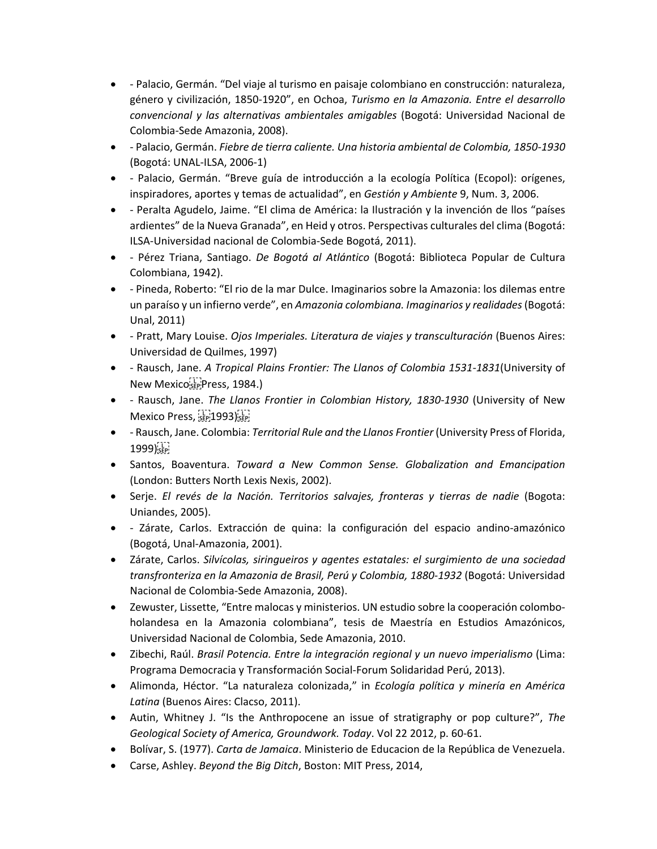- ‐ Palacio, Germán. "Del viaje al turismo en paisaje colombiano en construcción: naturaleza, género y civilización, 1850‐1920", en Ochoa, *Turismo en la Amazonia. Entre el desarrollo convencional y las alternativas ambientales amigables* (Bogotá: Universidad Nacional de Colombia‐Sede Amazonia, 2008).
- ‐ Palacio, Germán. *Fiebre de tierra caliente. Una historia ambiental de Colombia, 1850‐1930* (Bogotá: UNAL‐ILSA, 2006‐1)
- ‐ Palacio, Germán. "Breve guía de introducción a la ecología Política (Ecopol): orígenes, inspiradores, aportes y temas de actualidad", en *Gestión y Ambiente* 9, Num. 3, 2006.
- ‐ Peralta Agudelo, Jaime. "El clima de América: la Ilustración y la invención de llos "países ardientes" de la Nueva Granada", en Heid y otros. Perspectivas culturales del clima (Bogotá: ILSA‐Universidad nacional de Colombia‐Sede Bogotá, 2011).
- ‐ Pérez Triana, Santiago. *De Bogotá al Atlántico* (Bogotá: Biblioteca Popular de Cultura Colombiana, 1942).
- ‐ Pineda, Roberto: "El rio de la mar Dulce. Imaginarios sobre la Amazonia: los dilemas entre un paraíso y un infierno verde", en *Amazonia colombiana. Imaginarios y realidades*(Bogotá: Unal, 2011)
- ‐ Pratt, Mary Louise. *Ojos Imperiales. Literatura de viajes y transculturación* (Buenos Aires: Universidad de Quilmes, 1997)
- ‐ Rausch, Jane. *A Tropical Plains Frontier: The Llanos of Colombia 1531‐1831*(University of New Mexico<sup>[17]</sup>Press, 1984.)
- ‐ Rausch, Jane. *The Llanos Frontier in Colombian History, 1830‐1930* (University of New Mexico Press, SEP 1993) SEP
- ‐ Rausch, Jane. Colombia: *Territorial Rule and the Llanos Frontier* (University Press of Florida,  $1999)$ <sub>SEP</sub>
- Santos, Boaventura. *Toward a New Common Sense. Globalization and Emancipation* (London: Butters North Lexis Nexis, 2002).
- Serje. *El revés de la Nación. Territorios salvajes, fronteras y tierras de nadie* (Bogota: Uniandes, 2005).
- ‐ Zárate, Carlos. Extracción de quina: la configuración del espacio andino‐amazónico (Bogotá, Unal‐Amazonia, 2001).
- Zárate, Carlos. *Silvícolas, siringueiros y agentes estatales: el surgimiento de una sociedad transfronteriza en la Amazonia de Brasil, Perú y Colombia, 1880‐1932* (Bogotá: Universidad Nacional de Colombia‐Sede Amazonia, 2008).
- Zewuster, Lissette, "Entre malocas y ministerios. UN estudio sobre la cooperación colomboholandesa en la Amazonia colombiana", tesis de Maestría en Estudios Amazónicos, Universidad Nacional de Colombia, Sede Amazonia, 2010.
- Zibechi, Raúl. *Brasil Potencia. Entre la integración regional y un nuevo imperialismo* (Lima: Programa Democracia y Transformación Social‐Forum Solidaridad Perú, 2013).
- Alimonda, Héctor. "La naturaleza colonizada," in *Ecología política y minería en América Latina* (Buenos Aires: Clacso, 2011).
- Autin, Whitney J. "Is the Anthropocene an issue of stratigraphy or pop culture?", *The Geological Society of America, Groundwork. Today*. Vol 22 2012, p. 60‐61.
- Bolívar, S. (1977). *Carta de Jamaica*. Ministerio de Educacion de la República de Venezuela.
- Carse, Ashley. *Beyond the Big Ditch*, Boston: MIT Press, 2014,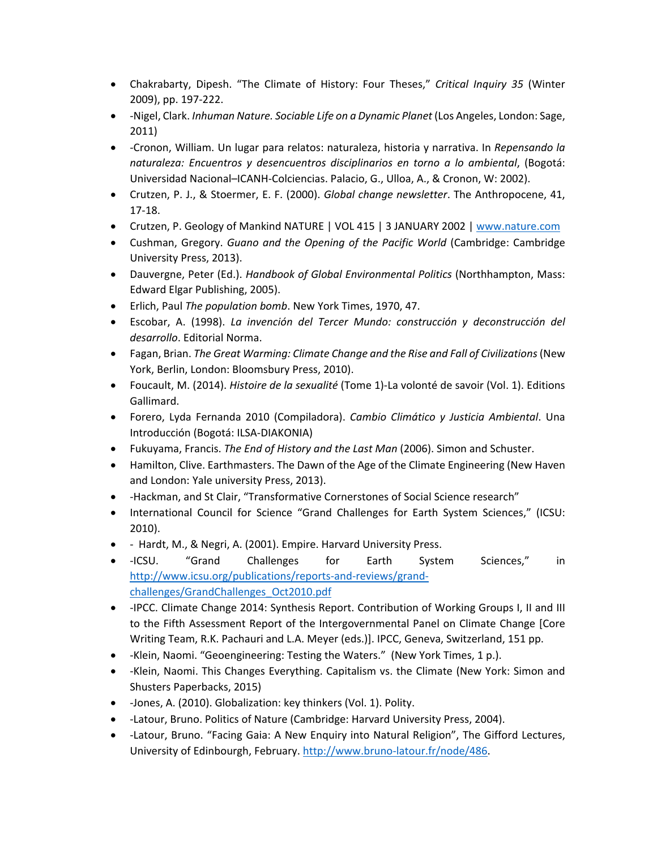- Chakrabarty, Dipesh. "The Climate of History: Four Theses," *Critical Inquiry 35* (Winter 2009), pp. 197‐222.
- ‐Nigel, Clark. *Inhuman Nature. Sociable Life on a Dynamic Planet* (Los Angeles, London: Sage, 2011)
- ‐Cronon, William. Un lugar para relatos: naturaleza, historia y narrativa. In *Repensando la naturaleza: Encuentros y desencuentros disciplinarios en torno a lo ambiental*, (Bogotá: Universidad Nacional–ICANH‐Colciencias. Palacio, G., Ulloa, A., & Cronon, W: 2002).
- Crutzen, P. J., & Stoermer, E. F. (2000). *Global change newsletter*. The Anthropocene, 41, 17‐18.
- Crutzen, P. Geology of Mankind NATURE | VOL 415 | 3 JANUARY 2002 | www.nature.com
- Cushman, Gregory. *Guano and the Opening of the Pacific World* (Cambridge: Cambridge University Press, 2013).
- Dauvergne, Peter (Ed.). *Handbook of Global Environmental Politics* (Northhampton, Mass: Edward Elgar Publishing, 2005).
- Erlich, Paul *The population bomb*. New York Times, 1970, 47.
- Escobar, A. (1998). *La invención del Tercer Mundo: construcción y deconstrucción del desarrollo*. Editorial Norma.
- Fagan, Brian. *The Great Warming: Climate Change and the Rise and Fall of Civilizations*(New York, Berlin, London: Bloomsbury Press, 2010).
- Foucault, M. (2014). *Histoire de la sexualité* (Tome 1)‐La volonté de savoir (Vol. 1). Editions Gallimard.
- Forero, Lyda Fernanda 2010 (Compiladora). *Cambio Climático y Justicia Ambiental*. Una Introducción (Bogotá: ILSA‐DIAKONIA)
- Fukuyama, Francis. *The End of History and the Last Man* (2006). Simon and Schuster.
- Hamilton, Clive. Earthmasters. The Dawn of the Age of the Climate Engineering (New Haven and London: Yale university Press, 2013).
- ‐Hackman, and St Clair, "Transformative Cornerstones of Social Science research"
- International Council for Science "Grand Challenges for Earth System Sciences," (ICSU: 2010).
- ‐ Hardt, M., & Negri, A. (2001). Empire. Harvard University Press.
- -ICSU. "Grand Challenges for Earth System Sciences," in http://www.icsu.org/publications/reports-and-reviews/grandchallenges/GrandChallenges\_Oct2010.pdf
- - IPCC. Climate Change 2014: Synthesis Report. Contribution of Working Groups I, II and III to the Fifth Assessment Report of the Intergovernmental Panel on Climate Change [Core Writing Team, R.K. Pachauri and L.A. Meyer (eds.)]. IPCC, Geneva, Switzerland, 151 pp.
- ‐Klein, Naomi. "Geoengineering: Testing the Waters." (New York Times, 1 p.).
- - Klein, Naomi. This Changes Everything. Capitalism vs. the Climate (New York: Simon and Shusters Paperbacks, 2015)
- - Jones, A. (2010). Globalization: key thinkers (Vol. 1). Polity.
- ‐Latour, Bruno. Politics of Nature (Cambridge: Harvard University Press, 2004).
- ‐Latour, Bruno. "Facing Gaia: A New Enquiry into Natural Religion", The Gifford Lectures, University of Edinbourgh, February. http://www.bruno‐latour.fr/node/486.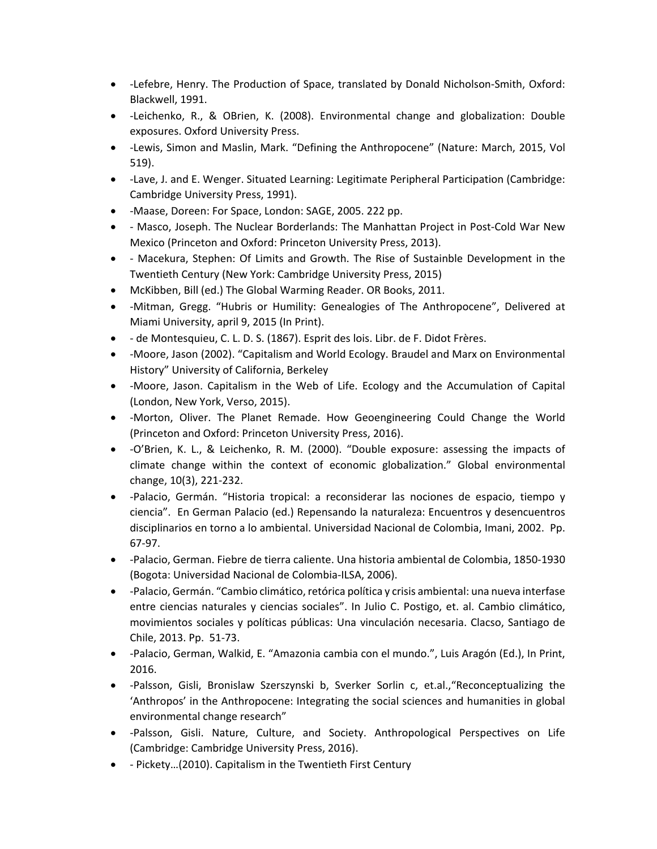- ‐Lefebre, Henry. The Production of Space, translated by Donald Nicholson‐Smith, Oxford: Blackwell, 1991.
- ‐Leichenko, R., & OBrien, K. (2008). Environmental change and globalization: Double exposures. Oxford University Press.
- ‐Lewis, Simon and Maslin, Mark. "Defining the Anthropocene" (Nature: March, 2015, Vol 519).
- ‐Lave, J. and E. Wenger. Situated Learning: Legitimate Peripheral Participation (Cambridge: Cambridge University Press, 1991).
- - Maase, Doreen: For Space, London: SAGE, 2005. 222 pp.
- ‐ Masco, Joseph. The Nuclear Borderlands: The Manhattan Project in Post‐Cold War New Mexico (Princeton and Oxford: Princeton University Press, 2013).
- - Macekura, Stephen: Of Limits and Growth. The Rise of Sustainble Development in the Twentieth Century (New York: Cambridge University Press, 2015)
- McKibben, Bill (ed.) The Global Warming Reader. OR Books, 2011.
- ‐Mitman, Gregg. "Hubris or Humility: Genealogies of The Anthropocene", Delivered at Miami University, april 9, 2015 (In Print).
- ‐ de Montesquieu, C. L. D. S. (1867). Esprit des lois. Libr. de F. Didot Frères.
- -Moore, Jason (2002). "Capitalism and World Ecology. Braudel and Marx on Environmental History" University of California, Berkeley
- -Moore, Jason. Capitalism in the Web of Life. Ecology and the Accumulation of Capital (London, New York, Verso, 2015).
- - Morton, Oliver. The Planet Remade. How Geoengineering Could Change the World (Princeton and Oxford: Princeton University Press, 2016).
- - O'Brien, K. L., & Leichenko, R. M. (2000). "Double exposure: assessing the impacts of climate change within the context of economic globalization." Global environmental change, 10(3), 221‐232.
- ‐Palacio, Germán. "Historia tropical: a reconsiderar las nociones de espacio, tiempo y ciencia". En German Palacio (ed.) Repensando la naturaleza: Encuentros y desencuentros disciplinarios en torno a lo ambiental. Universidad Nacional de Colombia, Imani, 2002. Pp. 67‐97.
- ‐Palacio, German. Fiebre de tierra caliente. Una historia ambiental de Colombia, 1850‐1930 (Bogota: Universidad Nacional de Colombia‐ILSA, 2006).
- ‐Palacio, Germán. "Cambio climático,retórica política y crisis ambiental: una nueva interfase entre ciencias naturales y ciencias sociales". In Julio C. Postigo, et. al. Cambio climático, movimientos sociales y políticas públicas: Una vinculación necesaria. Clacso, Santiago de Chile, 2013. Pp. 51‐73.
- ‐Palacio, German, Walkid, E. "Amazonia cambia con el mundo.", Luis Aragón (Ed.), In Print, 2016.
- -Palsson, Gisli, Bronislaw Szerszynski b, Sverker Sorlin c, et.al., "Reconceptualizing the 'Anthropos' in the Anthropocene: Integrating the social sciences and humanities in global environmental change research"
- -Palsson, Gisli. Nature, Culture, and Society. Anthropological Perspectives on Life (Cambridge: Cambridge University Press, 2016).
- ‐ Pickety…(2010). Capitalism in the Twentieth First Century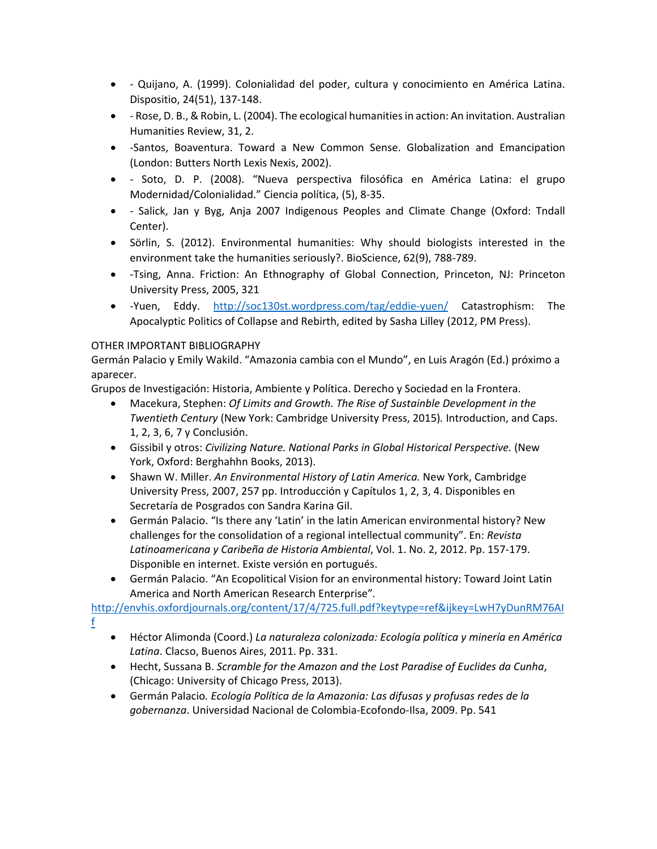- ‐ Quijano, A. (1999). Colonialidad del poder, cultura y conocimiento en América Latina. Dispositio, 24(51), 137‐148.
- Flose, D. B., & Robin, L. (2004). The ecological humanities in action: An invitation. Australian Humanities Review, 31, 2.
- -Santos, Boaventura. Toward a New Common Sense. Globalization and Emancipation (London: Butters North Lexis Nexis, 2002).
- ‐ Soto, D. P. (2008). "Nueva perspectiva filosófica en América Latina: el grupo Modernidad/Colonialidad." Ciencia política, (5), 8‐35.
- - Salick, Jan y Byg, Anja 2007 Indigenous Peoples and Climate Change (Oxford: Tndall Center).
- Sörlin, S. (2012). Environmental humanities: Why should biologists interested in the environment take the humanities seriously?. BioScience, 62(9), 788‐789.
- -Tsing, Anna. Friction: An Ethnography of Global Connection, Princeton, NJ: Princeton University Press, 2005, 321
- ‐Yuen, Eddy. http://soc130st.wordpress.com/tag/eddie‐yuen/ Catastrophism: The Apocalyptic Politics of Collapse and Rebirth, edited by Sasha Lilley (2012, PM Press).

### OTHER IMPORTANT BIBLIOGRAPHY

Germán Palacio y Emily Wakild. "Amazonia cambia con el Mundo", en Luis Aragón (Ed.) próximo a aparecer.

Grupos de Investigación: Historia, Ambiente y Política. Derecho y Sociedad en la Frontera.

- Macekura, Stephen: *Of Limits and Growth. The Rise of Sustainble Development in the Twentieth Century* (New York: Cambridge University Press, 2015)*.* Introduction, and Caps. 1, 2, 3, 6, 7 y Conclusión.
- Gissibil y otros: *Civilizing Nature. National Parks in Global Historical Perspective.* (New York, Oxford: Berghahhn Books, 2013).
- Shawn W. Miller. *An Environmental History of Latin America.* New York, Cambridge University Press, 2007, 257 pp. Introducción y Capítulos 1, 2, 3, 4. Disponibles en Secretaría de Posgrados con Sandra Karina Gil.
- Germán Palacio. "Is there any 'Latin' in the latin American environmental history? New challenges for the consolidation of a regional intellectual community". En: *Revista Latinoamericana y Caribeña de Historia Ambiental*, Vol. 1. No. 2, 2012. Pp. 157‐179. Disponible en internet. Existe versión en portugués.
- Germán Palacio. "An Ecopolitical Vision for an environmental history: Toward Joint Latin America and North American Research Enterprise"*.*

http://envhis.oxfordjournals.org/content/17/4/725.full.pdf?keytype=ref&ijkey=LwH7yDunRM76AI f

- Héctor Alimonda (Coord.) *La naturaleza colonizada: Ecología política y minería en América Latina*. Clacso, Buenos Aires, 2011. Pp. 331.
- Hecht, Sussana B. *Scramble for the Amazon and the Lost Paradise of Euclides da Cunha*, (Chicago: University of Chicago Press, 2013).
- Germán Palacio*. Ecología Política de la Amazonia: Las difusas y profusas redes de la gobernanza*. Universidad Nacional de Colombia‐Ecofondo‐Ilsa, 2009. Pp. 541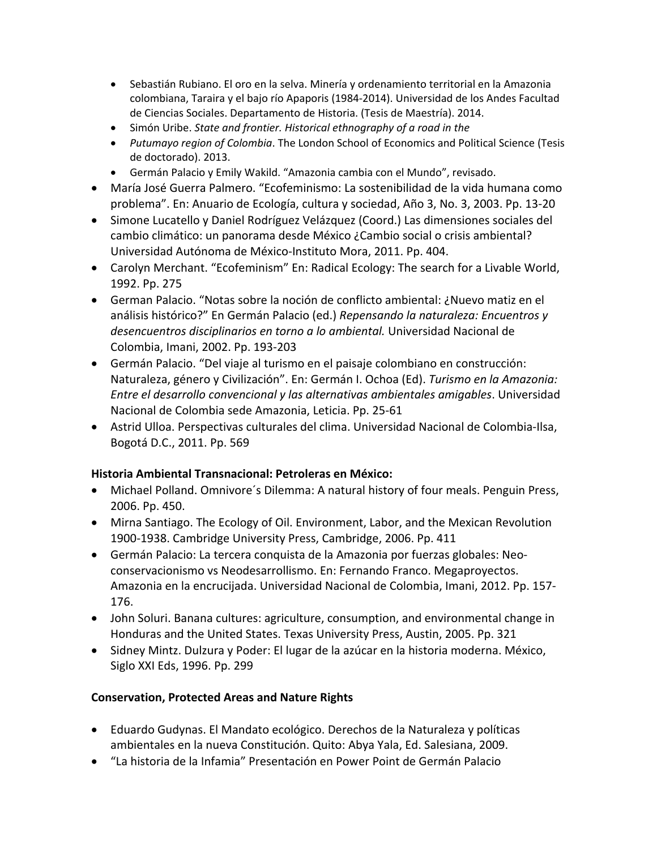- Sebastián Rubiano. El oro en la selva. Minería y ordenamiento territorial en la Amazonia colombiana, Taraira y el bajo río Apaporis (1984‐2014). Universidad de los Andes Facultad de Ciencias Sociales. Departamento de Historia. (Tesis de Maestría). 2014.
- Simón Uribe. *State and frontier. Historical ethnography of a road in the*
- *Putumayo region of Colombia*. The London School of Economics and Political Science (Tesis de doctorado). 2013.
- Germán Palacio y Emily Wakild. "Amazonia cambia con el Mundo", revisado.
- María José Guerra Palmero. "Ecofeminismo: La sostenibilidad de la vida humana como problema". En: Anuario de Ecología, cultura y sociedad, Año 3, No. 3, 2003. Pp. 13‐20
- Simone Lucatello y Daniel Rodríguez Velázquez (Coord.) Las dimensiones sociales del cambio climático: un panorama desde México ¿Cambio social o crisis ambiental? Universidad Autónoma de México‐Instituto Mora, 2011. Pp. 404.
- Carolyn Merchant. "Ecofeminism" En: Radical Ecology: The search for a Livable World, 1992. Pp. 275
- German Palacio. "Notas sobre la noción de conflicto ambiental: ¿Nuevo matiz en el análisis histórico?" En Germán Palacio (ed.) *Repensando la naturaleza: Encuentros y desencuentros disciplinarios en torno a lo ambiental.* Universidad Nacional de Colombia, Imani, 2002. Pp. 193‐203
- Germán Palacio. "Del viaje al turismo en el paisaje colombiano en construcción: Naturaleza, género y Civilización". En: Germán I. Ochoa (Ed). *Turismo en la Amazonia: Entre el desarrollo convencional y las alternativas ambientales amigables*. Universidad Nacional de Colombia sede Amazonia, Leticia. Pp. 25‐61
- Astrid Ulloa. Perspectivas culturales del clima. Universidad Nacional de Colombia‐Ilsa, Bogotá D.C., 2011. Pp. 569

### **Historia Ambiental Transnacional: Petroleras en México:**

- Michael Polland. Omnivore´s Dilemma: A natural history of four meals. Penguin Press, 2006. Pp. 450.
- Mirna Santiago. The Ecology of Oil. Environment, Labor, and the Mexican Revolution 1900‐1938. Cambridge University Press, Cambridge, 2006. Pp. 411
- Germán Palacio: La tercera conquista de la Amazonia por fuerzas globales: Neoconservacionismo vs Neodesarrollismo. En: Fernando Franco. Megaproyectos. Amazonia en la encrucijada. Universidad Nacional de Colombia, Imani, 2012. Pp. 157‐ 176.
- John Soluri. Banana cultures: agriculture, consumption, and environmental change in Honduras and the United States. Texas University Press, Austin, 2005. Pp. 321
- Sidney Mintz. Dulzura y Poder: El lugar de la azúcar en la historia moderna. México, Siglo XXI Eds, 1996. Pp. 299

## **Conservation, Protected Areas and Nature Rights**

- Eduardo Gudynas. El Mandato ecológico. Derechos de la Naturaleza y políticas ambientales en la nueva Constitución. Quito: Abya Yala, Ed. Salesiana, 2009.
- "La historia de la Infamia" Presentación en Power Point de Germán Palacio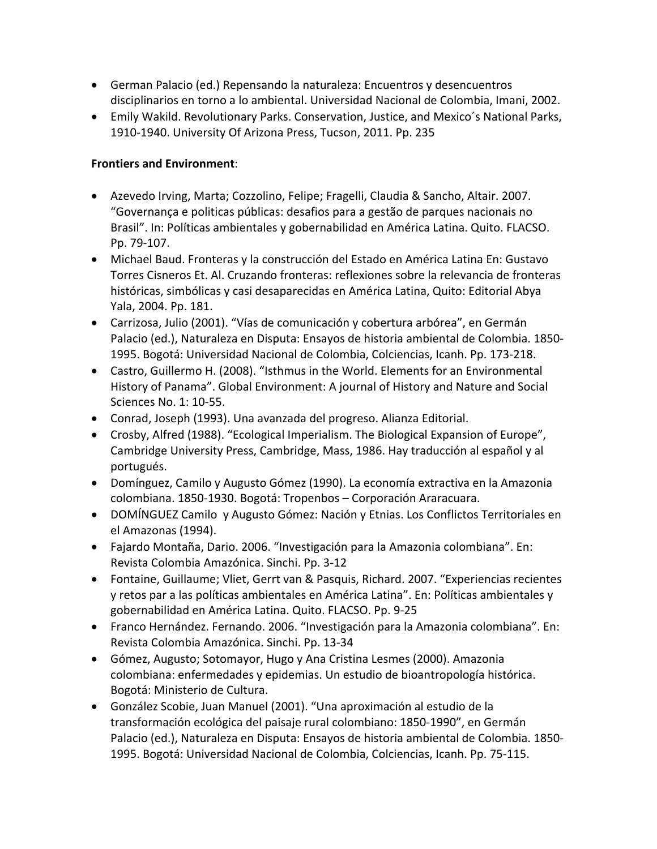- German Palacio (ed.) Repensando la naturaleza: Encuentros y desencuentros disciplinarios en torno a lo ambiental. Universidad Nacional de Colombia, Imani, 2002.
- Emily Wakild. Revolutionary Parks. Conservation, Justice, and Mexico´s National Parks, 1910‐1940. University Of Arizona Press, Tucson, 2011. Pp. 235

## **Frontiers and Environment**:

- Azevedo Irving, Marta; Cozzolino, Felipe; Fragelli, Claudia & Sancho, Altair. 2007. "Governança e politicas públicas: desafios para a gestão de parques nacionais no Brasil". In: Políticas ambientales y gobernabilidad en América Latina. Quito. FLACSO. Pp. 79‐107.
- Michael Baud. Fronteras y la construcción del Estado en América Latina En: Gustavo Torres Cisneros Et. Al. Cruzando fronteras: reflexiones sobre la relevancia de fronteras históricas, simbólicas y casi desaparecidas en América Latina, Quito: Editorial Abya Yala, 2004. Pp. 181.
- Carrizosa, Julio (2001). "Vías de comunicación y cobertura arbórea", en Germán Palacio (ed.), Naturaleza en Disputa: Ensayos de historia ambiental de Colombia. 1850‐ 1995. Bogotá: Universidad Nacional de Colombia, Colciencias, Icanh. Pp. 173‐218.
- Castro, Guillermo H. (2008). "Isthmus in the World. Elements for an Environmental History of Panama". Global Environment: A journal of History and Nature and Social Sciences No. 1: 10‐55.
- Conrad, Joseph (1993). Una avanzada del progreso. Alianza Editorial.
- Crosby, Alfred (1988). "Ecological Imperialism. The Biological Expansion of Europe", Cambridge University Press, Cambridge, Mass, 1986. Hay traducción al español y al portugués.
- Domínguez, Camilo y Augusto Gómez (1990). La economía extractiva en la Amazonia colombiana. 1850‐1930. Bogotá: Tropenbos – Corporación Araracuara.
- DOMÍNGUEZ Camilo y Augusto Gómez: Nación y Etnias. Los Conflictos Territoriales en el Amazonas (1994).
- Fajardo Montaña, Dario. 2006. "Investigación para la Amazonia colombiana". En: Revista Colombia Amazónica. Sinchi. Pp. 3‐12
- Fontaine, Guillaume; Vliet, Gerrt van & Pasquis, Richard. 2007. "Experiencias recientes y retos par a las políticas ambientales en América Latina". En: Políticas ambientales y gobernabilidad en América Latina. Quito. FLACSO. Pp. 9‐25
- Franco Hernández. Fernando. 2006. "Investigación para la Amazonia colombiana". En: Revista Colombia Amazónica. Sinchi. Pp. 13‐34
- Gómez, Augusto; Sotomayor, Hugo y Ana Cristina Lesmes (2000). Amazonia colombiana: enfermedades y epidemias. Un estudio de bioantropología histórica. Bogotá: Ministerio de Cultura.
- González Scobie, Juan Manuel (2001). "Una aproximación al estudio de la transformación ecológica del paisaje rural colombiano: 1850‐1990", en Germán Palacio (ed.), Naturaleza en Disputa: Ensayos de historia ambiental de Colombia. 1850‐ 1995. Bogotá: Universidad Nacional de Colombia, Colciencias, Icanh. Pp. 75‐115.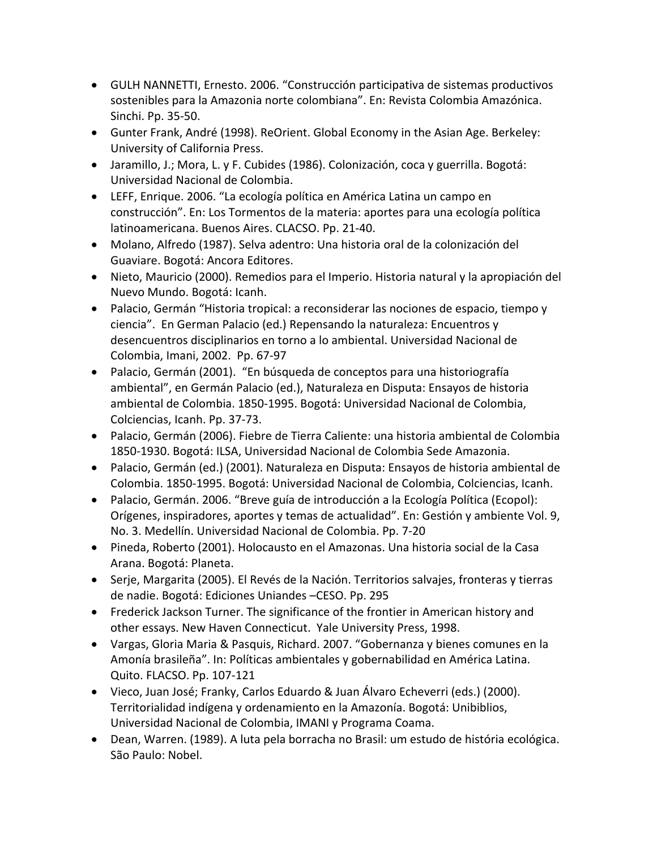- GULH NANNETTI, Ernesto. 2006. "Construcción participativa de sistemas productivos sostenibles para la Amazonia norte colombiana". En: Revista Colombia Amazónica. Sinchi. Pp. 35‐50.
- Gunter Frank, André (1998). ReOrient. Global Economy in the Asian Age. Berkeley: University of California Press.
- Jaramillo, J.; Mora, L. y F. Cubides (1986). Colonización, coca y guerrilla. Bogotá: Universidad Nacional de Colombia.
- LEFF, Enrique. 2006. "La ecología política en América Latina un campo en construcción". En: Los Tormentos de la materia: aportes para una ecología política latinoamericana. Buenos Aires. CLACSO. Pp. 21‐40.
- Molano, Alfredo (1987). Selva adentro: Una historia oral de la colonización del Guaviare. Bogotá: Ancora Editores.
- Nieto, Mauricio (2000). Remedios para el Imperio. Historia natural y la apropiación del Nuevo Mundo. Bogotá: Icanh.
- Palacio, Germán "Historia tropical: a reconsiderar las nociones de espacio, tiempo y ciencia". En German Palacio (ed.) Repensando la naturaleza: Encuentros y desencuentros disciplinarios en torno a lo ambiental. Universidad Nacional de Colombia, Imani, 2002. Pp. 67‐97
- Palacio, Germán (2001). "En búsqueda de conceptos para una historiografía ambiental", en Germán Palacio (ed.), Naturaleza en Disputa: Ensayos de historia ambiental de Colombia. 1850‐1995. Bogotá: Universidad Nacional de Colombia, Colciencias, Icanh. Pp. 37‐73.
- Palacio, Germán (2006). Fiebre de Tierra Caliente: una historia ambiental de Colombia 1850‐1930. Bogotá: ILSA, Universidad Nacional de Colombia Sede Amazonia.
- Palacio, Germán (ed.) (2001). Naturaleza en Disputa: Ensayos de historia ambiental de Colombia. 1850‐1995. Bogotá: Universidad Nacional de Colombia, Colciencias, Icanh.
- Palacio, Germán. 2006. "Breve guía de introducción a la Ecología Política (Ecopol): Orígenes, inspiradores, aportes y temas de actualidad". En: Gestión y ambiente Vol. 9, No. 3. Medellín. Universidad Nacional de Colombia. Pp. 7‐20
- Pineda, Roberto (2001). Holocausto en el Amazonas. Una historia social de la Casa Arana. Bogotá: Planeta.
- Serje, Margarita (2005). El Revés de la Nación. Territorios salvajes, fronteras y tierras de nadie. Bogotá: Ediciones Uniandes –CESO. Pp. 295
- Frederick Jackson Turner. The significance of the frontier in American history and other essays. New Haven Connecticut. Yale University Press, 1998.
- Vargas, Gloria Maria & Pasquis, Richard. 2007. "Gobernanza y bienes comunes en la Amonía brasileña". In: Políticas ambientales y gobernabilidad en América Latina. Quito. FLACSO. Pp. 107‐121
- Vieco, Juan José; Franky, Carlos Eduardo & Juan Álvaro Echeverri (eds.) (2000). Territorialidad indígena y ordenamiento en la Amazonía. Bogotá: Unibiblios, Universidad Nacional de Colombia, IMANI y Programa Coama.
- Dean, Warren. (1989). A luta pela borracha no Brasil: um estudo de história ecológica. São Paulo: Nobel.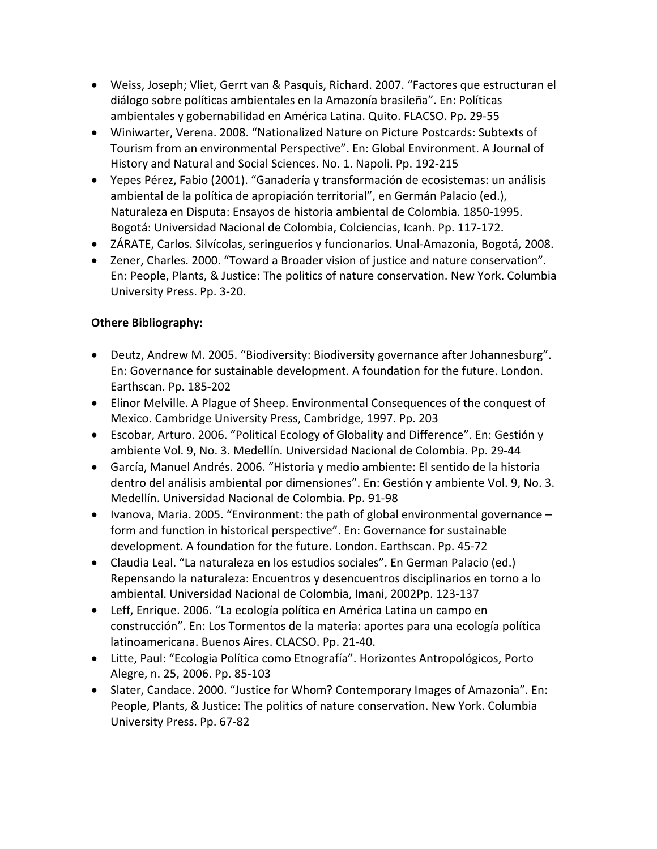- Weiss, Joseph; Vliet, Gerrt van & Pasquis, Richard. 2007. "Factores que estructuran el diálogo sobre políticas ambientales en la Amazonía brasileña". En: Políticas ambientales y gobernabilidad en América Latina. Quito. FLACSO. Pp. 29‐55
- Winiwarter, Verena. 2008. "Nationalized Nature on Picture Postcards: Subtexts of Tourism from an environmental Perspective". En: Global Environment. A Journal of History and Natural and Social Sciences. No. 1. Napoli. Pp. 192‐215
- Yepes Pérez, Fabio (2001). "Ganadería y transformación de ecosistemas: un análisis ambiental de la política de apropiación territorial", en Germán Palacio (ed.), Naturaleza en Disputa: Ensayos de historia ambiental de Colombia. 1850‐1995. Bogotá: Universidad Nacional de Colombia, Colciencias, Icanh. Pp. 117‐172.
- ZÁRATE, Carlos. Silvícolas, seringuerios y funcionarios. Unal‐Amazonia, Bogotá, 2008.
- Zener, Charles. 2000. "Toward a Broader vision of justice and nature conservation". En: People, Plants, & Justice: The politics of nature conservation. New York. Columbia University Press. Pp. 3‐20.

## **Othere Bibliography:**

- Deutz, Andrew M. 2005. "Biodiversity: Biodiversity governance after Johannesburg". En: Governance for sustainable development. A foundation for the future. London. Earthscan. Pp. 185‐202
- Elinor Melville. A Plague of Sheep. Environmental Consequences of the conquest of Mexico. Cambridge University Press, Cambridge, 1997. Pp. 203
- Escobar, Arturo. 2006. "Political Ecology of Globality and Difference". En: Gestión y ambiente Vol. 9, No. 3. Medellín. Universidad Nacional de Colombia. Pp. 29‐44
- García, Manuel Andrés. 2006. "Historia y medio ambiente: El sentido de la historia dentro del análisis ambiental por dimensiones". En: Gestión y ambiente Vol. 9, No. 3. Medellín. Universidad Nacional de Colombia. Pp. 91‐98
- Ivanova, Maria. 2005. "Environment: the path of global environmental governance  $$ form and function in historical perspective". En: Governance for sustainable development. A foundation for the future. London. Earthscan. Pp. 45‐72
- Claudia Leal. "La naturaleza en los estudios sociales". En German Palacio (ed.) Repensando la naturaleza: Encuentros y desencuentros disciplinarios en torno a lo ambiental. Universidad Nacional de Colombia, Imani, 2002Pp. 123‐137
- Leff, Enrique. 2006. "La ecología política en América Latina un campo en construcción". En: Los Tormentos de la materia: aportes para una ecología política latinoamericana. Buenos Aires. CLACSO. Pp. 21‐40.
- Litte, Paul: "Ecologia Política como Etnografía". Horizontes Antropológicos, Porto Alegre, n. 25, 2006. Pp. 85‐103
- Slater, Candace. 2000. "Justice for Whom? Contemporary Images of Amazonia". En: People, Plants, & Justice: The politics of nature conservation. New York. Columbia University Press. Pp. 67‐82